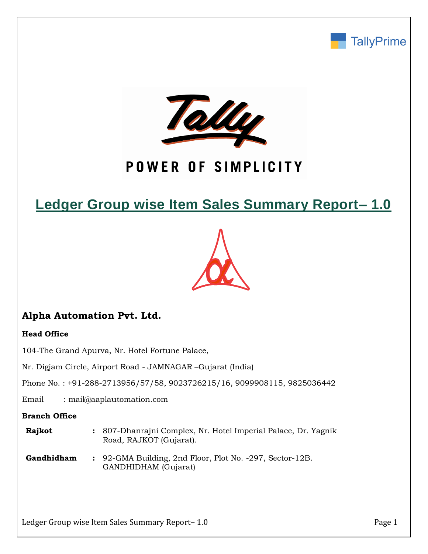



## POWER OF SIMPLICITY

## **Ledger Group wise Item Sales Summary Report– 1.0**



## **Alpha Automation Pvt. Ltd.**

### **Head Office**

104-The Grand Apurva, Nr. Hotel Fortune Palace,

Nr. Digjam Circle, Airport Road - JAMNAGAR –Gujarat (India)

Phone No. : +91-288-2713956/57/58, 9023726215/16, 9099908115, 9825036442

Email : mail@aaplautomation.com

### **Branch Office**

| Rajkot | : 807-Dhanrajni Complex, Nr. Hotel Imperial Palace, Dr. Yagnik |
|--------|----------------------------------------------------------------|
|        | Road, RAJKOT (Gujarat).                                        |

**Gandhidham :** 92-GMA Building, 2nd Floor, Plot No. -297, Sector-12B. GANDHIDHAM (Gujarat)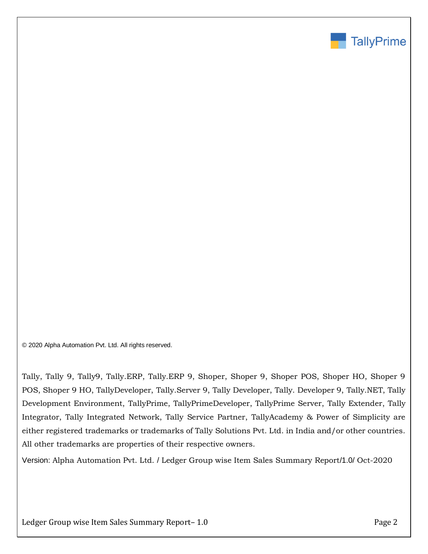

© 2020 Alpha Automation Pvt. Ltd. All rights reserved.

Tally, Tally 9, Tally9, Tally.ERP, Tally.ERP 9, Shoper, Shoper 9, Shoper POS, Shoper HO, Shoper 9 POS, Shoper 9 HO, TallyDeveloper, Tally.Server 9, Tally Developer, Tally. Developer 9, Tally.NET, Tally Development Environment, TallyPrime, TallyPrimeDeveloper, TallyPrime Server, Tally Extender, Tally Integrator, Tally Integrated Network, Tally Service Partner, TallyAcademy & Power of Simplicity are either registered trademarks or trademarks of Tally Solutions Pvt. Ltd. in India and/or other countries. All other trademarks are properties of their respective owners.

Version: Alpha Automation Pvt. Ltd. / Ledger Group wise Item Sales Summary Report/1.0/ Oct-2020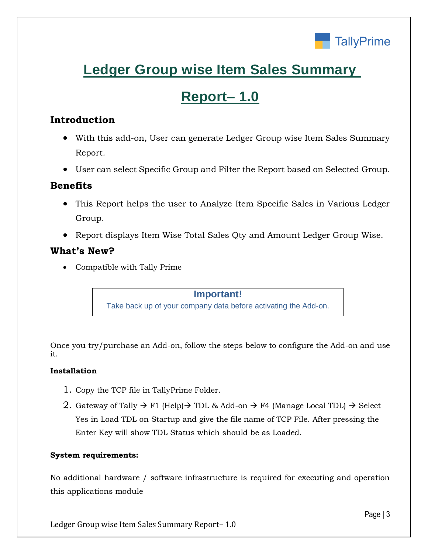

# **Ledger Group wise Item Sales Summary**

## **Report– 1.0**

## **Introduction**

- With this add-on, User can generate Ledger Group wise Item Sales Summary Report.
- User can select Specific Group and Filter the Report based on Selected Group.

### **Benefits**

- This Report helps the user to Analyze Item Specific Sales in Various Ledger Group.
- Report displays Item Wise Total Sales Qty and Amount Ledger Group Wise.

### **What's New?**

Compatible with Tally Prime

**Important!** Take back up of your company data before activating the Add-on.

Once you try/purchase an Add-on, follow the steps below to configure the Add-on and use it.

### **Installation**

- 1. Copy the TCP file in TallyPrime Folder.
- 2. Gateway of Tally  $\rightarrow$  F1 (Help)  $\rightarrow$  TDL & Add-on  $\rightarrow$  F4 (Manage Local TDL)  $\rightarrow$  Select Yes in Load TDL on Startup and give the file name of TCP File. After pressing the Enter Key will show TDL Status which should be as Loaded.

#### **System requirements:**

No additional hardware / software infrastructure is required for executing and operation this applications module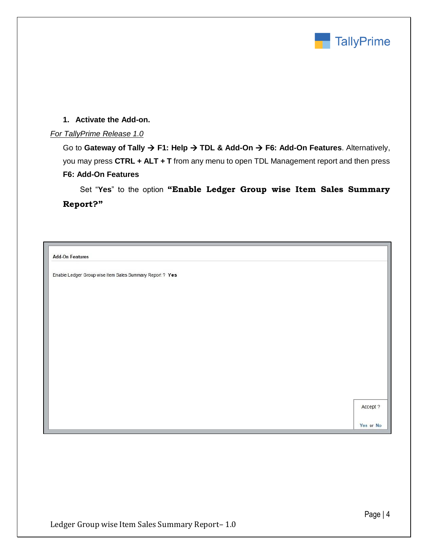

### **1. Activate the Add-on.**

#### *For TallyPrime Release 1.0*

Go to Gateway of Tally → F1: Help → TDL & Add-On → F6: Add-On Features. Alternatively, you may press **CTRL + ALT + T** from any menu to open TDL Management report and then press **F6: Add-On Features**

 Set "**Yes**" to the option **"Enable Ledger Group wise Item Sales Summary Report?"**

**Add-On Features** 

Enable Ledger Group wise Item Sales Summary Report ? Yes

Accept ?

Yes or No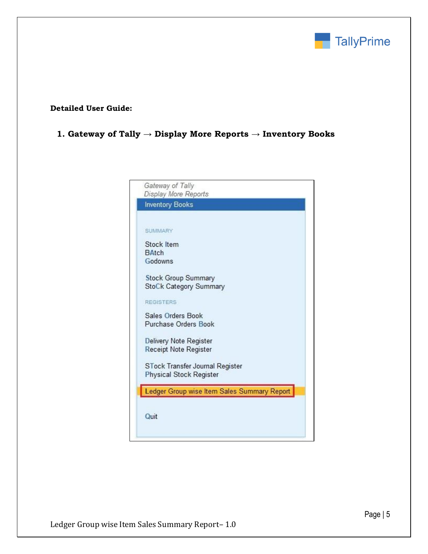

### **Detailed User Guide:**

## **1. Gateway of Tally → Display More Reports → Inventory Books**

|              | Gateway of Tally<br>Display More Reports    |
|--------------|---------------------------------------------|
|              | <b>Inventory Books</b>                      |
|              | <b>SUMMARY</b>                              |
|              | <b>Stock Item</b>                           |
| <b>BAtch</b> |                                             |
|              | Godowns                                     |
|              | <b>Stock Group Summary</b>                  |
|              | StoCk Category Summary                      |
|              | <b>REGISTERS</b>                            |
|              | Sales Orders Book                           |
|              | Purchase Orders Book                        |
|              | Delivery Note Register                      |
|              | <b>Receipt Note Register</b>                |
|              | STock Transfer Journal Register             |
|              | <b>Physical Stock Register</b>              |
|              | Ledger Group wise Item Sales Summary Report |
|              |                                             |
|              |                                             |
| Quit         |                                             |
|              |                                             |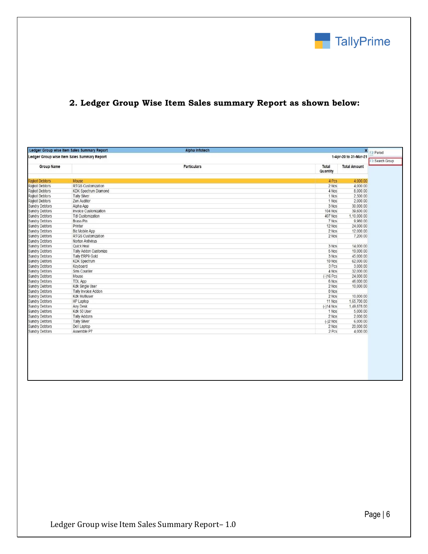

## **2. Ledger Group Wise Item Sales summary Report as shown below:**

| Ledger Group wise Item Sales Summary Report<br><b>Alpha Infotech</b><br>X F2: Period |                             |                    |                   |                       |
|--------------------------------------------------------------------------------------|-----------------------------|--------------------|-------------------|-----------------------|
| Ledger Group wise Item Sales Summary Report                                          |                             |                    |                   | 1-Apr-20 to 31-Mar-21 |
| <b>Group Name</b>                                                                    |                             | <b>Particulars</b> | Total<br>Quantity | <b>Total Amount</b>   |
|                                                                                      |                             |                    |                   |                       |
| <b>Rajkot Debtors</b>                                                                | <b>Mouse</b>                |                    | 4 Pcs             | 4,000.00              |
| <b>Raikot Debtors</b>                                                                | <b>RTGS Customization</b>   |                    | 2 Nos             | 4.000.00              |
| Rajkot Debtors                                                                       | <b>KDK Spectrum Diamond</b> |                    | 4 Nos             | 8.000.00              |
| Rajkot Debtors                                                                       | <b>Tally Silver</b>         |                    | 1 Nos             | 2,500.00              |
| Rajkot Debtors                                                                       | Zen Auditor                 |                    | 1 Nos             | 2,000.00              |
| <b>Sundry Debtors</b>                                                                | Alpha App                   |                    | 3 Nos             | 30,000.00             |
| <b>Sundry Debtors</b>                                                                | Invoice Customization       |                    | <b>104 Nos</b>    | 39,600.00             |
| <b>Sundry Debtors</b>                                                                | <b>Tdl Customization</b>    |                    | <b>407 Nos</b>    | 1,10,000.00           |
| <b>Sundry Debtors</b>                                                                | <b>Brass Pin</b>            |                    | 7 Nos             | 9.960.00              |
| <b>Sundry Debtors</b>                                                                | Printer                     |                    | 12 Nos            | 24,000.00             |
| <b>Sundry Debtors</b>                                                                | <b>Biz Mobile App</b>       |                    | 2 Nos             | 12,000.00             |
| <b>Sundry Debtors</b>                                                                | <b>RTGS Customization</b>   |                    | 2 Nos             | 7,200.00              |
| <b>Sundry Debtors</b>                                                                | Norton Antivirus            |                    |                   |                       |
| <b>Sundry Debtors</b>                                                                | Quick Heal                  |                    | 3 Nos             | 14,000.00             |
| <b>Sundry Debtors</b>                                                                | Tally Addon Customize       |                    | 5 Nos             | 19,000.00             |
| <b>Sundry Debtors</b>                                                                | Tally ERP9 Gold             |                    | 3 Nos             | 45,000.00             |
| Sundry Debtors                                                                       | <b>KDK Spectrum</b>         |                    | 10 Nos            | 62,000.00             |
| Sundry Debtors                                                                       | Keyboard                    |                    | 3 Pcs             | 3,000.00              |
| <b>Sundry Debtors</b>                                                                | Sms Counter                 |                    | 4 Nos             | 32,000.00             |
| <b>Sundry Debtors</b>                                                                | Mouse                       |                    | $(-)16$ Pcs       | 24,000.00             |
| <b>Sundry Debtors</b>                                                                | <b>TDL App</b>              |                    | 6 Nos             | 46,000.00             |
| <b>Sundry Debtors</b>                                                                | Kdk Single User             |                    | 2 Nos             | 10,000.00             |
| <b>Sundry Debtors</b>                                                                | Tally Invoice Addon         |                    | 0 Nos             |                       |
| <b>Sundry Debtors</b>                                                                | <b>Kdk Multiuser</b>        |                    | 2 Nos             | 10,000.00             |
| Sundry Debtors                                                                       | HP Laptop                   |                    | 11 Nos            | 1,65,700.00           |
| <b>Sundry Debtors</b>                                                                | Any Desk                    |                    | $(-)14$ Nos       | 1,49,878.00           |
| <b>Sundry Debtors</b>                                                                | Kdk 50 User                 |                    | 1 Nos             | 5,000.00              |
| <b>Sundry Debtors</b>                                                                | <b>Tally Addons</b>         |                    | 2 Nos             | 2,000.00              |
| <b>Sundry Debtors</b>                                                                | <b>Tally Silver</b>         |                    | $(-)2$ Nos        | 6,000.00              |
| <b>Sundry Debtors</b>                                                                | Dell Laptop                 |                    | 2 Nos             | 20,000.00             |
|                                                                                      | Assemble P7                 |                    | 2 Pcs             | 4,000.00              |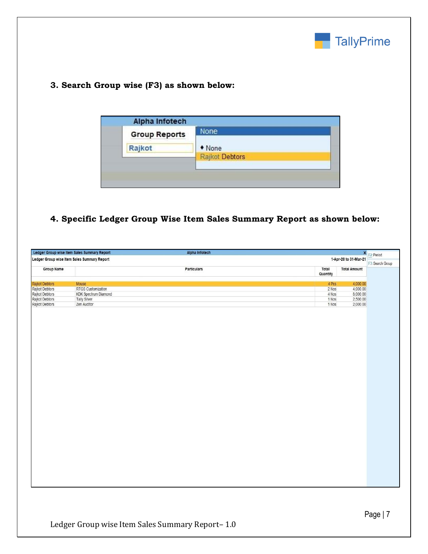

## **3. Search Group wise (F3) as shown below:**

| <b>Group Reports</b> | None                                                           |
|----------------------|----------------------------------------------------------------|
| Rajkot               | • None                                                         |
|                      | <b>Rajkot Debtors</b><br><b><i>CONTRACTORY CONTRACTORY</i></b> |

## **4. Specific Ledger Group Wise Item Sales Summary Report as shown below:**

| Ledger Group wise Item Sales Summary Report<br>Alpha Infotech        |                      |             |                   |                     | X F2: Period     |
|----------------------------------------------------------------------|----------------------|-------------|-------------------|---------------------|------------------|
| Ledger Group wise Item Sales Summary Report<br>1-Apr-20 to 31-Mar-21 |                      |             |                   |                     |                  |
| Group Name                                                           |                      | Particulars | Total<br>Quantity | <b>Total Amount</b> | F3: Search Group |
| Rajkot Debtors                                                       | Mouse                |             | 4 Pcs             | 4,000.00            |                  |
| Rajkot Debtors                                                       | RTGS Customization   |             | $2$ Nos           | 4,000.00            |                  |
| Rajkot Debtors                                                       | KDK Spectrum Diamond |             | 4 Nos             | 8,000.00            |                  |
| Rajkot Debtors                                                       | Tally Silver         |             | 1 Nos             | 2,500.00            |                  |
| Rajkot Debtors                                                       | Zen Auditor          |             | 1 Nos             | 2,000.00            |                  |
|                                                                      |                      |             |                   |                     |                  |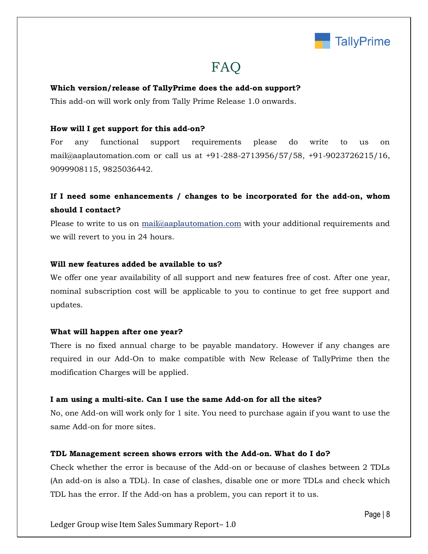

## FAQ

#### **Which version/release of TallyPrime does the add-on support?**

This add-on will work only from Tally Prime Release 1.0 onwards.

#### **How will I get support for this add-on?**

For any functional support requirements please do write to us on mail@aaplautomation.com or call us at +91-288-2713956/57/58, +91-9023726215/16, 9099908115, 9825036442.

## **If I need some enhancements / changes to be incorporated for the add-on, whom should I contact?**

Please to write to us on mail@aaplautomation.com with your additional requirements and we will revert to you in 24 hours.

#### **Will new features added be available to us?**

We offer one year availability of all support and new features free of cost. After one year, nominal subscription cost will be applicable to you to continue to get free support and updates.

#### **What will happen after one year?**

There is no fixed annual charge to be payable mandatory. However if any changes are required in our Add-On to make compatible with New Release of TallyPrime then the modification Charges will be applied.

#### **I am using a multi-site. Can I use the same Add-on for all the sites?**

No, one Add-on will work only for 1 site. You need to purchase again if you want to use the same Add-on for more sites.

#### **TDL Management screen shows errors with the Add-on. What do I do?**

Check whether the error is because of the Add-on or because of clashes between 2 TDLs (An add-on is also a TDL). In case of clashes, disable one or more TDLs and check which TDL has the error. If the Add-on has a problem, you can report it to us.